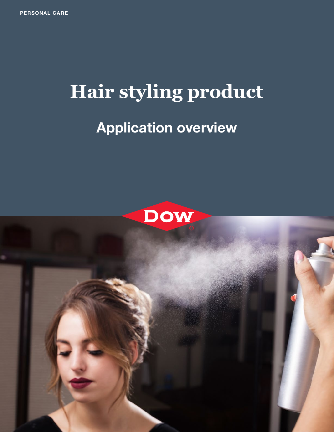## **Hair styling product**

## **Application overview**



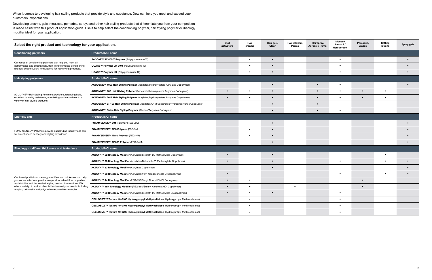When it comes to developing hair styling products that provide style and substance, Dow can help you meet and exceed your customers' expectations.

Developing creams, gels, mousses, pomades, sprays and other hair styling products that differentiate you from your competition is made easier with this product application guide. Use it to help select the conditioning polymer, hair styling polymer or rheology modifier ideal for your application.

| Select the right product and technology for your application.                                                                                                                                                                                                                                                                                  |                                                                                             | Curl<br>Hair<br>Hair gels,<br>Hair relaxers,<br>Hairspray,<br>activators<br>creams<br>Clear<br>Perms<br>Aerosol / Pump |           | Mousse,<br>Aerosol /<br>Non-aerosol | Pomades,<br>Glazes | Setting<br><b>lotions</b> | <b>Spray gels</b> |           |           |           |
|------------------------------------------------------------------------------------------------------------------------------------------------------------------------------------------------------------------------------------------------------------------------------------------------------------------------------------------------|---------------------------------------------------------------------------------------------|------------------------------------------------------------------------------------------------------------------------|-----------|-------------------------------------|--------------------|---------------------------|-------------------|-----------|-----------|-----------|
| <b>Conditioning polymers</b>                                                                                                                                                                                                                                                                                                                   | <b>Product/INCI name</b>                                                                    |                                                                                                                        |           |                                     |                    |                           |                   |           |           |           |
| Our range of conditioning polymers can help you meet all<br>performance and cost targets, from light to intense conditioning<br>and low-cost to luxury formulations for hair styling products.                                                                                                                                                 | SoftCAT™ SX 400 X Polymer (Polyquaternium-67)                                               |                                                                                                                        | $\bullet$ |                                     |                    |                           | $\bullet$         |           |           | $\bullet$ |
|                                                                                                                                                                                                                                                                                                                                                | UCARE™ Polymer JR-30M (Polyquaternium-10)                                                   |                                                                                                                        | $\bullet$ |                                     |                    |                           | $\bullet$         |           |           | $\bullet$ |
|                                                                                                                                                                                                                                                                                                                                                | UCARE™ Polymer LK (Polyquaternium-10)                                                       |                                                                                                                        | $\bullet$ |                                     |                    |                           | $\bullet$         |           |           | $\bullet$ |
| Hair styling polymers                                                                                                                                                                                                                                                                                                                          | <b>Product/INCI name</b>                                                                    |                                                                                                                        |           |                                     |                    |                           |                   |           |           |           |
| ACUDYNE™ Hair Styling Polymers provide outstanding hold,<br>excellent humidity resistance, non flaking and natural feel to a<br>variety of hair styling products.                                                                                                                                                                              | ACUDYNE™ 1000 Hair Styling Polymer (Acrylates/Hydroxyesters Acrylates Copolymer)            |                                                                                                                        |           | $\bullet$                           |                    | $\bullet$                 | $\bullet$         |           |           | $\bullet$ |
|                                                                                                                                                                                                                                                                                                                                                | ACUDYNE™ 180 Hair Styling Polymer (Acrylates/Hydroxyesters Acrylates Copolymer)             | $\bullet$                                                                                                              | $\bullet$ |                                     |                    |                           | $\bullet$         | $\bullet$ | $\bullet$ |           |
|                                                                                                                                                                                                                                                                                                                                                | ACUDYNE™ DHR Hair Styling Polymer (Acrylates/Hydroxyesters Acrylates Copolymer)             | $\bullet$                                                                                                              | $\bullet$ |                                     |                    | $\bullet$                 | $\bullet$         | $\bullet$ | $\bullet$ |           |
|                                                                                                                                                                                                                                                                                                                                                | ACUDYNE™ LT-120 Hair Styling Polymer (Acrylates/C1-2 Succinates/Hydroxyacrylates Copolymer) |                                                                                                                        |           |                                     |                    | $\bullet$                 |                   |           |           |           |
|                                                                                                                                                                                                                                                                                                                                                | ACUDYNE™ Shine Hair Styling Polymer (Styrene/Acrylates Copolymer)                           |                                                                                                                        |           |                                     |                    |                           | $\bullet$         |           |           |           |
| <b>Lubricity aids</b>                                                                                                                                                                                                                                                                                                                          | <b>Product/INCI name</b>                                                                    |                                                                                                                        |           |                                     |                    |                           |                   |           |           |           |
| FOAMYSENSE™ Polymers provide outstanding lubricity and slip<br>for an enhanced sensory and styling experience.                                                                                                                                                                                                                                 | FOAMYSENSE™ 301 Polymer (PEG-90M)                                                           |                                                                                                                        |           |                                     |                    |                           |                   |           |           | $\bullet$ |
|                                                                                                                                                                                                                                                                                                                                                | FOAMYSENSE™ N80 Polymer (PEG-5M)                                                            |                                                                                                                        | $\bullet$ |                                     |                    |                           |                   |           |           | $\bullet$ |
|                                                                                                                                                                                                                                                                                                                                                | FOAMYSENSE™ N750 Polymer (PEG-7M)                                                           |                                                                                                                        | $\bullet$ |                                     |                    |                           |                   |           |           |           |
|                                                                                                                                                                                                                                                                                                                                                | FOAMYSENSE™ N3000 Polymer (PEG-14M)                                                         |                                                                                                                        |           |                                     |                    |                           |                   |           |           | $\bullet$ |
| <b>Rheology modifiers, thickeners and texturizers</b>                                                                                                                                                                                                                                                                                          | <b>Product/INCI name</b>                                                                    |                                                                                                                        |           |                                     |                    |                           |                   |           |           |           |
| Our broad portfolio of rheology modifiers and thickeners can help<br>you enhance texture, provide suspension, adjust flow properties,<br>and stabilize and thicken hair styling product formulations. We<br>offer a variety of product chemistries to meet your needs, including<br>acrylic-, cellulosic- and polyurethane-based technologies. | ACULYN™ 22 Rheology Modifier (Acrylates/Steareth-20 Methacrylate Copolymer)                 | $\bullet$                                                                                                              |           |                                     |                    |                           |                   |           | $\bullet$ |           |
|                                                                                                                                                                                                                                                                                                                                                | ACULYN™ 28 Rheology Modifier (Acrylates/Beheneth-25 Methacrylate Copolymer)                 | $\bullet$                                                                                                              |           |                                     |                    |                           | $\bullet$         |           | $\bullet$ | $\bullet$ |
|                                                                                                                                                                                                                                                                                                                                                | ACULYN™ 33 Rheology Modifier (Acrylates Copolymer)                                          |                                                                                                                        |           |                                     |                    |                           |                   |           |           |           |
|                                                                                                                                                                                                                                                                                                                                                | ACULYN™ 38 Rheology Modifier (Acrylates/Vinyl Neodecanoate Crosspolymer)                    | $\bullet$                                                                                                              |           |                                     |                    |                           | $\bullet$         |           | $\bullet$ | $\bullet$ |
|                                                                                                                                                                                                                                                                                                                                                | ACULYN™ 44 Rheology Modifier (PEG-150/Decyl Alcohol/SMDI Copolymer)                         | $\bullet$                                                                                                              | $\bullet$ |                                     |                    |                           |                   | $\bullet$ |           |           |
|                                                                                                                                                                                                                                                                                                                                                | ACULYN™ 46N Rheology Modifier (PEG-150/Stearyl Alcohol/SMDI Copolymer)                      | $\bullet$                                                                                                              | $\bullet$ |                                     | $\bullet$          |                           |                   | $\bullet$ |           |           |
|                                                                                                                                                                                                                                                                                                                                                | ACULYN™ 88 Rheology Modifier (Acrylates/Steareth-20 Methacrylate Crosspolymer)              | $\bullet$                                                                                                              | $\bullet$ | $\bullet$                           |                    |                           | $\bullet$         |           |           |           |
|                                                                                                                                                                                                                                                                                                                                                | CELLOSIZE™ Texture 40-0100 Hydroxypropyl Methylcellulose (Hydroxypropyl Methylcellulose)    |                                                                                                                        | ٠         |                                     |                    |                           | $\bullet$         |           |           |           |
|                                                                                                                                                                                                                                                                                                                                                | CELLOSIZE™ Texture 40-0101 Hydroxypropyl Methylcellulose (Hydroxypropyl Methylcellulose)    |                                                                                                                        | $\bullet$ |                                     |                    |                           | $\bullet$         |           |           |           |
|                                                                                                                                                                                                                                                                                                                                                | CELLOSIZE™ Texture 40-0202 Hydroxypropyl Methylcellulose (Hydroxypropyl Methylcellulose)    |                                                                                                                        | $\bullet$ |                                     |                    |                           | $\bullet$         |           |           |           |